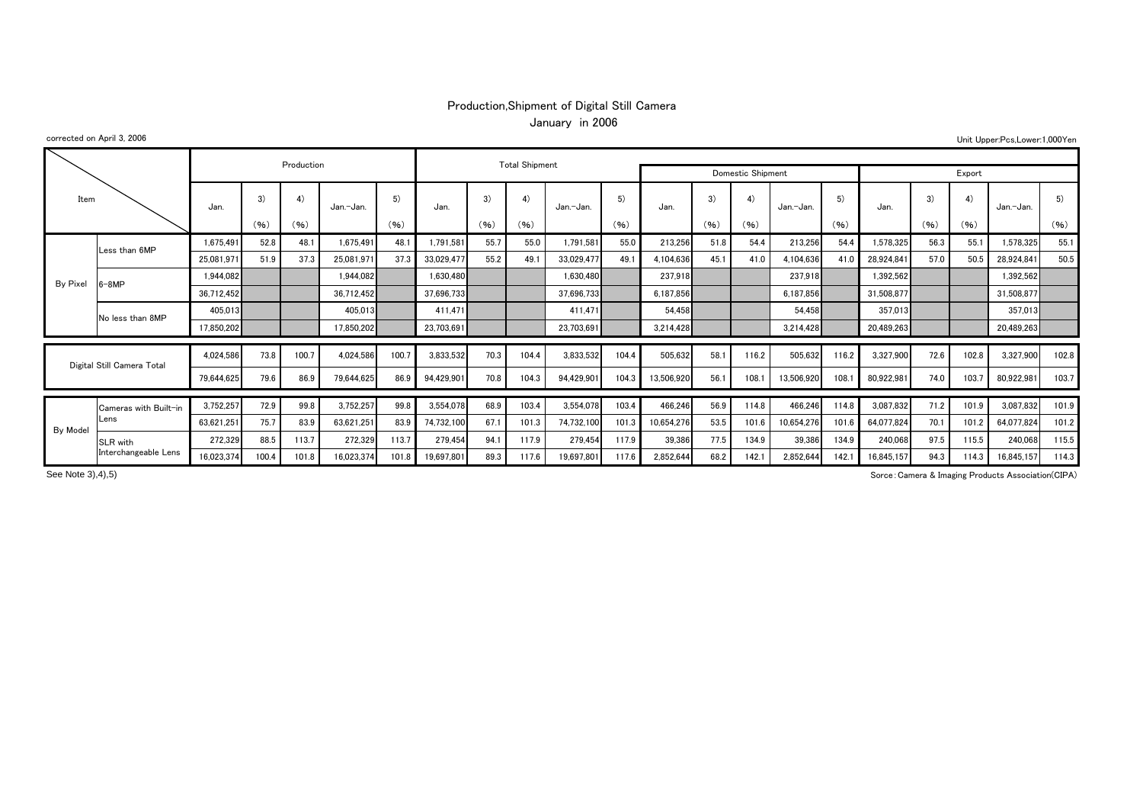## Production,Shipment of Digital Still Camera January in 2006

## corrected on April 3, 2006

Unit Upper:Pcs,Lower:1,000Yen

| Item     |                            |            |       | Production |            |       | <b>Total Shipment</b> |      |       |                   |       |            |        |       |            |       |            |      |       |            |       |
|----------|----------------------------|------------|-------|------------|------------|-------|-----------------------|------|-------|-------------------|-------|------------|--------|-------|------------|-------|------------|------|-------|------------|-------|
|          |                            |            |       |            |            |       |                       |      |       | Domestic Shipment |       |            | Export |       |            |       |            |      |       |            |       |
|          |                            | Jan.       | 3)    | 4)         | Jan.-Jan.  | 5)    | Jan.                  | 3)   |       | Jan.-Jan.         | 5)    | Jan.       | 3)     | 4)    | Jan.-Jan.  | 5)    | Jan.       | 3)   |       | Jan.-Jan.  | 5)    |
|          |                            |            | (96)  | (96)       |            | (96)  |                       | (96) | (96)  |                   | (96)  |            | (96)   | (96)  |            | (96)  |            | (96) | (96)  |            | (96)  |
|          | Less than 6MP              | 1.675.491  | 52.8  | 48.1       | 1.675.491  | 48.1  | 1,791,581             | 55.7 | 55.0  | 1.791.581         | 55.0  | 213,256    | 51.8   | 54.4  | 213,256    | 54.4  | 1,578,325  | 56.3 | 55.1  | 1.578.325  | 55.1  |
|          |                            | 25.081.97  | 51.9  | 37.3       | 25,081,971 | 37.3  | 33,029,477            | 55.2 | 49.1  | 33.029.477        | 49.1  | 4,104,636  | 45.    | 41.0  | 4.104.636  | 41.0  | 28,924,841 | 57.0 | 50.5  | 28,924,841 | 50.5  |
| By Pixel | i-8MP                      | 1.944.082  |       |            | 1.944.082  |       | 1,630,480             |      |       | 1,630,480         |       | 237,918    |        |       | 237,918    |       | 1,392,562  |      |       | 1,392,562  |       |
|          |                            | 36,712,452 |       |            | 36,712,452 |       | 37,696,733            |      |       | 37,696,733        |       | 6,187,856  |        |       | 6,187,856  |       | 31,508,877 |      |       | 31,508,877 |       |
|          | No less than 8MP           | 405,013    |       |            | 405,013    |       | 411,471               |      |       | 411.471           |       | 54.458     |        |       | 54,458     |       | 357,013    |      |       | 357,013    |       |
|          |                            | 17,850,202 |       |            | 17,850,202 |       | 23,703,691            |      |       | 23.703.691        |       | 3,214,428  |        |       | 3,214,428  |       | 20,489,263 |      |       | 20,489,263 |       |
|          |                            |            |       |            |            |       |                       |      |       |                   |       |            |        |       |            |       |            |      |       |            |       |
|          | Digital Still Camera Total | 4,024,586  | 73.8  | 100.7      | 4.024.586  | 100.7 | 3,833,532             | 70.3 | 104.4 | 3,833,532         | 104.4 | 505,632    | 58.    | 116.2 | 505,632    | 116.2 | 3,327,900  | 72.6 | 102.8 | 3,327,900  | 102.8 |
|          |                            | 79.644.625 | 79.6  | 86.9       | 79.644.625 | 86.9  | 94,429,901            | 70.8 | 104.3 | 94.429.901        | 104.3 | 13.506.920 | 56.    | 108.  | 13,506,920 | 108.  | 80,922,981 | 74.0 | 103.7 | 80,922,981 | 103.7 |
|          | Cameras with Built-in      | 3,752,257  | 72.9  | 99.8       | 3,752,257  | 99.8  | 3,554,078             | 68.9 | 103.4 | 3,554,078         | 103.4 | 466,246    | 56.9   | 114.8 | 466,246    | 114.8 | 3,087,832  | 71.2 | 101.9 | 3,087,832  | 101.9 |
|          | Lens                       | 63,621,251 | 75.7  | 83.9       | 63,621,251 | 83.9  | 74,732,100            | 67.1 | 101.3 | 74,732,100        | 101.3 | 10,654,276 | 53.5   | 101.6 | 10,654,276 | 101.6 | 64,077,824 | 70.1 | 101.2 | 64,077,824 | 101.2 |
| By Model | SLR with                   | 272,329    | 88.5  | 113.7      | 272,329    | 113.7 | 279,454               | 94.1 | 117.9 | 279,454           | 117.9 | 39,386     | 77.5   | 134.9 | 39,386     | 134.9 | 240,068    | 97.5 | 115.5 | 240,068    | 115.5 |
|          | Interchangeable Lens       | 16,023,374 | 100.4 | 101.8      | 16,023,374 | 101.8 | 19,697,801            | 89.3 | 117.6 | 19,697,801        | 117.6 | 2,852,644  | 68.2   | 142.1 | 2,852,644  | 142.  | 16,845,157 | 94.3 | 114.3 | 16,845,157 | 114.3 |

See Note 3), 4), 5)

Sorce:Camera & Imaging Products Association(CIPA)